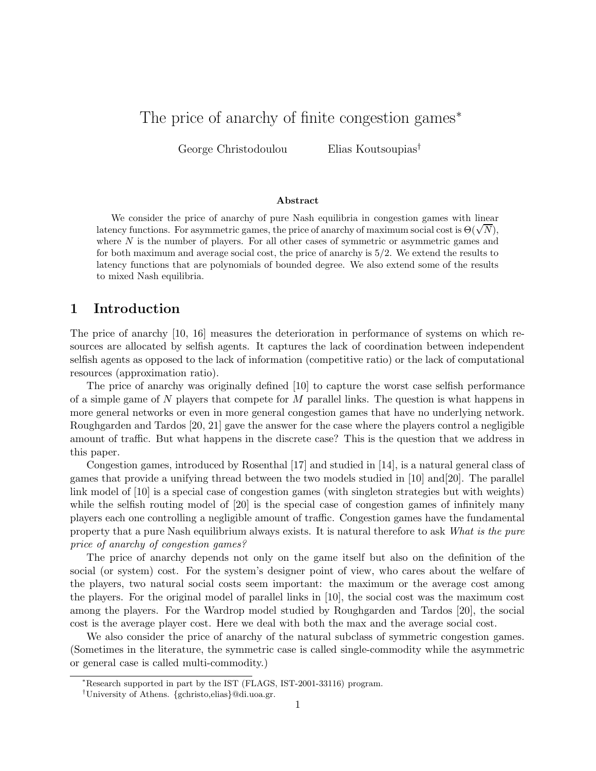# The price of anarchy of finite congestion games<sup>∗</sup>

George Christodoulou Elias Koutsoupias†

#### Abstract

We consider the price of anarchy of pure Nash equilibria in congestion games with linear latency functions. For asymmetric games, the price of anarchy of maximum social cost is  $\Theta(\sqrt{N})$ , where  $N$  is the number of players. For all other cases of symmetric or asymmetric games and for both maximum and average social cost, the price of anarchy is 5/2. We extend the results to latency functions that are polynomials of bounded degree. We also extend some of the results to mixed Nash equilibria.

### 1 Introduction

The price of anarchy [10, 16] measures the deterioration in performance of systems on which resources are allocated by selfish agents. It captures the lack of coordination between independent selfish agents as opposed to the lack of information (competitive ratio) or the lack of computational resources (approximation ratio).

The price of anarchy was originally defined [10] to capture the worst case selfish performance of a simple game of  $N$  players that compete for  $M$  parallel links. The question is what happens in more general networks or even in more general congestion games that have no underlying network. Roughgarden and Tardos [20, 21] gave the answer for the case where the players control a negligible amount of traffic. But what happens in the discrete case? This is the question that we address in this paper.

Congestion games, introduced by Rosenthal [17] and studied in [14], is a natural general class of games that provide a unifying thread between the two models studied in [10] and[20]. The parallel link model of [10] is a special case of congestion games (with singleton strategies but with weights) while the selfish routing model of [20] is the special case of congestion games of infinitely many players each one controlling a negligible amount of traffic. Congestion games have the fundamental property that a pure Nash equilibrium always exists. It is natural therefore to ask What is the pure price of anarchy of congestion games?

The price of anarchy depends not only on the game itself but also on the definition of the social (or system) cost. For the system's designer point of view, who cares about the welfare of the players, two natural social costs seem important: the maximum or the average cost among the players. For the original model of parallel links in [10], the social cost was the maximum cost among the players. For the Wardrop model studied by Roughgarden and Tardos [20], the social cost is the average player cost. Here we deal with both the max and the average social cost.

We also consider the price of anarchy of the natural subclass of symmetric congestion games. (Sometimes in the literature, the symmetric case is called single-commodity while the asymmetric or general case is called multi-commodity.)

<sup>∗</sup>Research supported in part by the IST (FLAGS, IST-2001-33116) program.

<sup>†</sup>University of Athens. {gchristo,elias}@di.uoa.gr.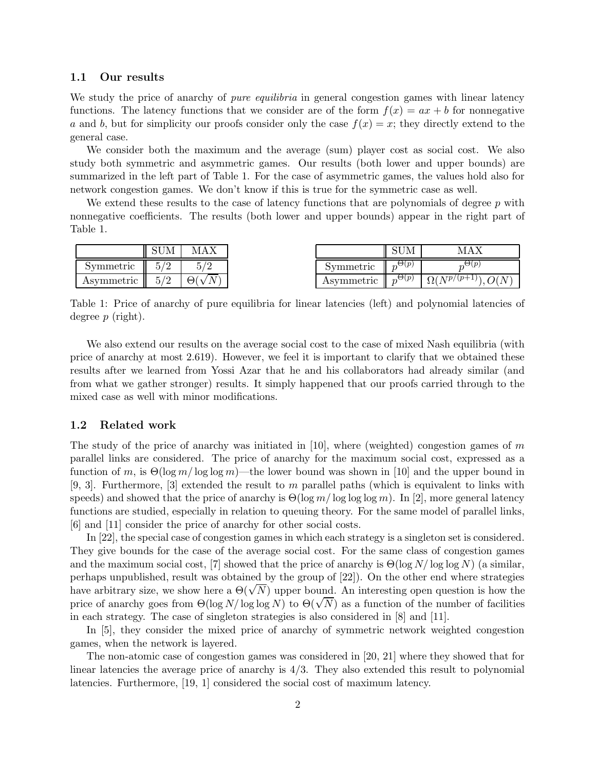#### 1.1 Our results

We study the price of anarchy of *pure equilibria* in general congestion games with linear latency functions. The latency functions that we consider are of the form  $f(x) = ax + b$  for nonnegative a and b, but for simplicity our proofs consider only the case  $f(x) = x$ ; they directly extend to the general case.

We consider both the maximum and the average (sum) player cost as social cost. We also study both symmetric and asymmetric games. Our results (both lower and upper bounds) are summarized in the left part of Table 1. For the case of asymmetric games, the values hold also for network congestion games. We don't know if this is true for the symmetric case as well.

We extend these results to the case of latency functions that are polynomials of degree  $p$  with nonnegative coefficients. The results (both lower and upper bounds) appear in the right part of Table 1.

|            | $_{\rm SUM}$ | MAX         |            | SUM                         |                       |
|------------|--------------|-------------|------------|-----------------------------|-----------------------|
| Symmetric  |              | ה ו         | Symmetric  | $\Theta(p)$                 |                       |
| Asymmetric | K.           | $\Theta(x)$ | Asymmetric | $\Theta(p)$<br>Ш<br>$n^{k}$ | $\Omega(N^{p/(p+1)})$ |

Table 1: Price of anarchy of pure equilibria for linear latencies (left) and polynomial latencies of degree  $p$  (right).

We also extend our results on the average social cost to the case of mixed Nash equilibria (with price of anarchy at most 2.619). However, we feel it is important to clarify that we obtained these results after we learned from Yossi Azar that he and his collaborators had already similar (and from what we gather stronger) results. It simply happened that our proofs carried through to the mixed case as well with minor modifications.

#### 1.2 Related work

The study of the price of anarchy was initiated in [10], where (weighted) congestion games of  $m$ parallel links are considered. The price of anarchy for the maximum social cost, expressed as a function of m, is  $\Theta(\log m / \log \log m)$ —the lower bound was shown in [10] and the upper bound in [9, 3]. Furthermore, [3] extended the result to m parallel paths (which is equivalent to links with speeds) and showed that the price of anarchy is  $\Theta(\log m / \log \log \log m)$ . In [2], more general latency functions are studied, especially in relation to queuing theory. For the same model of parallel links, [6] and [11] consider the price of anarchy for other social costs.

In [22], the special case of congestion games in which each strategy is a singleton set is considered. They give bounds for the case of the average social cost. For the same class of congestion games and the maximum social cost, [7] showed that the price of anarchy is  $\Theta(\log N/\log \log N)$  (a similar, perhaps unpublished, result was obtained by the group of [22]). On the other end where strategies have arbitrary size, we show here a  $\Theta(\sqrt{N})$  upper bound. An interesting open question is how the price of anarchy goes from  $\Theta(\log N/\log \log N)$  to  $\Theta(\sqrt{N})$  as a function of the number of facilities in each strategy. The case of singleton strategies is also considered in [8] and [11].

In [5], they consider the mixed price of anarchy of symmetric network weighted congestion games, when the network is layered.

The non-atomic case of congestion games was considered in [20, 21] where they showed that for linear latencies the average price of anarchy is  $4/3$ . They also extended this result to polynomial latencies. Furthermore, [19, 1] considered the social cost of maximum latency.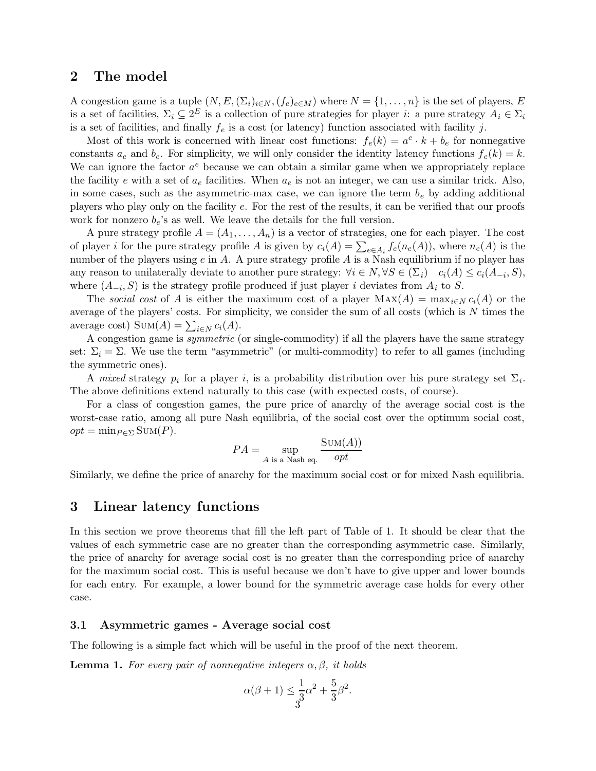# 2 The model

A congestion game is a tuple  $(N, E, (\Sigma_i)_{i \in N}, (f_e)_{e \in M})$  where  $N = \{1, \ldots, n\}$  is the set of players, E is a set of facilities,  $\Sigma_i \subseteq 2^E$  is a collection of pure strategies for player *i*: a pure strategy  $A_i \in \Sigma_i$ is a set of facilities, and finally  $f_e$  is a cost (or latency) function associated with facility j.

Most of this work is concerned with linear cost functions:  $f_e(k) = a^e \cdot k + b_e$  for nonnegative constants  $a_e$  and  $b_e$ . For simplicity, we will only consider the identity latency functions  $f_e(k) = k$ . We can ignore the factor  $a^e$  because we can obtain a similar game when we appropriately replace the facility e with a set of  $a_e$  facilities. When  $a_e$  is not an integer, we can use a similar trick. Also, in some cases, such as the asymmetric-max case, we can ignore the term  $b_e$  by adding additional players who play only on the facility e. For the rest of the results, it can be verified that our proofs work for nonzero  $b_e$ 's as well. We leave the details for the full version.

A pure strategy profile  $A = (A_1, \ldots, A_n)$  is a vector of strategies, one for each player. The cost of player *i* for the pure strategy profile A is given by  $c_i(A) = \sum_{e \in A_i} f_e(n_e(A))$ , where  $n_e(A)$  is the number of the players using  $e$  in  $A$ . A pure strategy profile  $A$  is a Nash equilibrium if no player has any reason to unilaterally deviate to another pure strategy:  $\forall i \in N, \forall S \in (\Sigma_i) \quad c_i(A) \leq c_i(A_{-i}, S)$ , where  $(A_{-i}, S)$  is the strategy profile produced if just player *i* deviates from  $A_i$  to S.

The social cost of A is either the maximum cost of a player  $\text{MAX}(A) = \max_{i \in N} c_i(A)$  or the average of the players' costs. For simplicity, we consider the sum of all costs (which is N times the average cost)  $\text{Sum}(A) = \sum_{i \in N} c_i(A)$ .

A congestion game is symmetric (or single-commodity) if all the players have the same strategy set:  $\Sigma_i = \Sigma$ . We use the term "asymmetric" (or multi-commodity) to refer to all games (including the symmetric ones).

A mixed strategy  $p_i$  for a player i, is a probability distribution over his pure strategy set  $\Sigma_i$ . The above definitions extend naturally to this case (with expected costs, of course).

For a class of congestion games, the pure price of anarchy of the average social cost is the worst-case ratio, among all pure Nash equilibria, of the social cost over the optimum social cost,  $opt = \min_{P \in \Sigma} \text{SUM}(P).$ 

$$
PA = \sup_{A \text{ is a Nash eq.}} \frac{\text{Sum}(A)}{opt}
$$

Similarly, we define the price of anarchy for the maximum social cost or for mixed Nash equilibria.

### 3 Linear latency functions

In this section we prove theorems that fill the left part of Table of 1. It should be clear that the values of each symmetric case are no greater than the corresponding asymmetric case. Similarly, the price of anarchy for average social cost is no greater than the corresponding price of anarchy for the maximum social cost. This is useful because we don't have to give upper and lower bounds for each entry. For example, a lower bound for the symmetric average case holds for every other case.

#### 3.1 Asymmetric games - Average social cost

The following is a simple fact which will be useful in the proof of the next theorem.

**Lemma 1.** For every pair of nonnegative integers  $\alpha, \beta$ , it holds

$$
\alpha(\beta + 1) \le \frac{1}{3}\alpha^2 + \frac{5}{3}\beta^2.
$$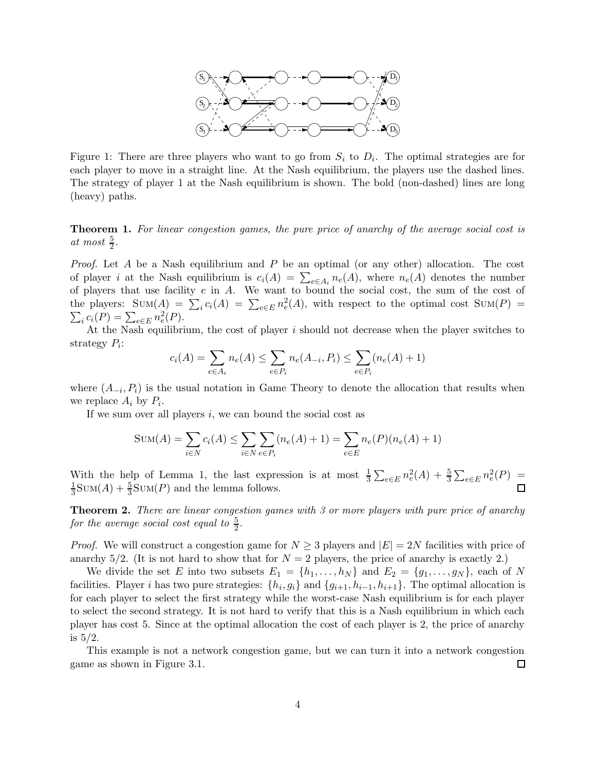

Figure 1: There are three players who want to go from  $S_i$  to  $D_i$ . The optimal strategies are for each player to move in a straight line. At the Nash equilibrium, the players use the dashed lines. The strategy of player 1 at the Nash equilibrium is shown. The bold (non-dashed) lines are long (heavy) paths.

Theorem 1. For linear congestion games, the pure price of anarchy of the average social cost is at most  $\frac{5}{2}$ .

*Proof.* Let A be a Nash equilibrium and P be an optimal (or any other) allocation. The cost of player *i* at the Nash equilibrium is  $c_i(A) = \sum_{e \in A_i} n_e(A)$ , where  $n_e(A)$  denotes the number of players that use facility e in A. We want to bound the social cost, the sum of the cost of the players:  $\text{Sum}(A) = \sum_i c_i(A) = \sum_{e \in E} n_e^2(A)$ , with respect to the optimal cost  $\text{Sum}(P) = \sum_i (n_i - n_e^2(A))$  $\sum_i c_i(P) = \sum_{e \in E} n_e^2(P).$ 

At the Nash equilibrium, the cost of player  $i$  should not decrease when the player switches to strategy  $P_i$ :

$$
c_i(A) = \sum_{e \in A_i} n_e(A) \le \sum_{e \in P_i} n_e(A_{-i}, P_i) \le \sum_{e \in P_i} (n_e(A) + 1)
$$

where  $(A_{-i}, P_i)$  is the usual notation in Game Theory to denote the allocation that results when we replace  $A_i$  by  $P_i$ .

If we sum over all players  $i$ , we can bound the social cost as

$$
Sum(A) = \sum_{i \in N} c_i(A) \le \sum_{i \in N} \sum_{e \in P_i} (n_e(A) + 1) = \sum_{e \in E} n_e(P)(n_e(A) + 1)
$$

With the help of Lemma 1, the last expression is at most  $\frac{1}{3} \sum_{e \in E} n_e^2(A) + \frac{5}{3}$  $\frac{5}{3}\sum_{e\in E} n_e^2(P) =$  $\frac{1}{3}$ SUM(A) +  $\frac{5}{3}$ 1  $\frac{5}{3}$ SUM(P) and the lemma follows.  $\Box$ 

**Theorem 2.** There are linear congestion games with 3 or more players with pure price of anarchy for the average social cost equal to  $\frac{5}{2}$ .

*Proof.* We will construct a congestion game for  $N \geq 3$  players and  $|E| = 2N$  facilities with price of anarchy  $5/2$ . (It is not hard to show that for  $N = 2$  players, the price of anarchy is exactly 2.)

We divide the set E into two subsets  $E_1 = \{h_1, \ldots, h_N\}$  and  $E_2 = \{g_1, \ldots, g_N\}$ , each of N facilities. Player *i* has two pure strategies:  $\{h_i, g_i\}$  and  $\{g_{i+1}, h_{i-1}, h_{i+1}\}$ . The optimal allocation is for each player to select the first strategy while the worst-case Nash equilibrium is for each player to select the second strategy. It is not hard to verify that this is a Nash equilibrium in which each player has cost 5. Since at the optimal allocation the cost of each player is 2, the price of anarchy is  $5/2$ .

This example is not a network congestion game, but we can turn it into a network congestion game as shown in Figure 3.1.  $\Box$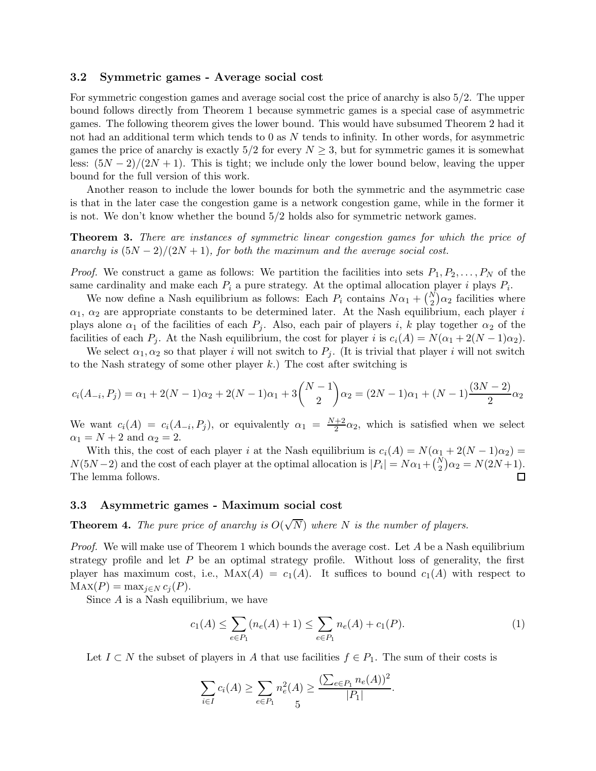#### 3.2 Symmetric games - Average social cost

For symmetric congestion games and average social cost the price of anarchy is also 5/2. The upper bound follows directly from Theorem 1 because symmetric games is a special case of asymmetric games. The following theorem gives the lower bound. This would have subsumed Theorem 2 had it not had an additional term which tends to  $0$  as  $N$  tends to infinity. In other words, for asymmetric games the price of anarchy is exactly  $5/2$  for every  $N \geq 3$ , but for symmetric games it is somewhat less:  $(5N-2)/(2N+1)$ . This is tight; we include only the lower bound below, leaving the upper bound for the full version of this work.

Another reason to include the lower bounds for both the symmetric and the asymmetric case is that in the later case the congestion game is a network congestion game, while in the former it is not. We don't know whether the bound 5/2 holds also for symmetric network games.

Theorem 3. There are instances of symmetric linear congestion games for which the price of anarchy is  $(5N-2)/(2N+1)$ , for both the maximum and the average social cost.

*Proof.* We construct a game as follows: We partition the facilities into sets  $P_1, P_2, \ldots, P_N$  of the same cardinality and make each  $P_i$  a pure strategy. At the optimal allocation player i plays  $P_i$ .

We now define a Nash equilibrium as follows: Each  $P_i$  contains  $N\alpha_1 + {N \choose 2} \alpha_2$  facilities where  $\alpha_1$ ,  $\alpha_2$  are appropriate constants to be determined later. At the Nash equilibrium, each player i plays alone  $\alpha_1$  of the facilities of each  $P_j$ . Also, each pair of players i, k play together  $\alpha_2$  of the facilities of each  $P_j$ . At the Nash equilibrium, the cost for player i is  $c_i(A) = N(\alpha_1 + 2(N - 1)\alpha_2)$ .

We select  $\alpha_1, \alpha_2$  so that player i will not switch to  $P_j$ . (It is trivial that player i will not switch to the Nash strategy of some other player  $k$ .) The cost after switching is

$$
c_i(A_{-i}, P_j) = \alpha_1 + 2(N - 1)\alpha_2 + 2(N - 1)\alpha_1 + 3\binom{N - 1}{2}\alpha_2 = (2N - 1)\alpha_1 + (N - 1)\frac{(3N - 2)}{2}\alpha_2
$$

We want  $c_i(A) = c_i(A_{-i}, P_j)$ , or equivalently  $\alpha_1 = \frac{N+2}{2}$  $\frac{+2}{2}\alpha_2$ , which is satisfied when we select  $\alpha_1 = N + 2$  and  $\alpha_2 = 2$ .

With this, the cost of each player i at the Nash equilibrium is  $c_i(A) = N(\alpha_1 + 2(N - 1)\alpha_2)$  $N(5N-2)$  and the cost of each player at the optimal allocation is  $|P_i| = N\alpha_1 + {N \choose 2}\alpha_2 = N(2N+1)$ . The lemma follows.  $\Box$ 

#### 3.3 Asymmetric games - Maximum social cost

**Theorem 4.** The pure price of anarchy is  $O(\sqrt{N})$  where N is the number of players.

*Proof.* We will make use of Theorem 1 which bounds the average cost. Let A be a Nash equilibrium strategy profile and let  $P$  be an optimal strategy profile. Without loss of generality, the first player has maximum cost, i.e.,  $\text{Max}(A) = c_1(A)$ . It suffices to bound  $c_1(A)$  with respect to  $\text{MAX}(P) = \max_{i \in N} c_i(P).$ 

Since  $A$  is a Nash equilibrium, we have

$$
c_1(A) \le \sum_{e \in P_1} (n_e(A) + 1) \le \sum_{e \in P_1} n_e(A) + c_1(P). \tag{1}
$$

 $n \geq 2$ 

Let  $I \subset N$  the subset of players in A that use facilities  $f \in P_1$ . The sum of their costs is

$$
\sum_{i \in I} c_i(A) \ge \sum_{e \in P_1} n_e^2(A) \ge \frac{(\sum_{e \in P_1} n_e(A))^2}{|P_1|}.
$$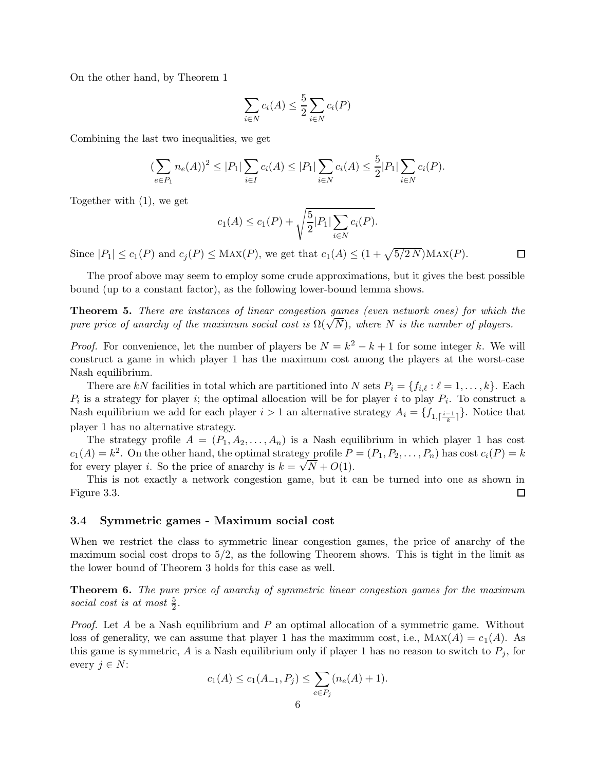On the other hand, by Theorem 1

$$
\sum_{i \in N} c_i(A) \le \frac{5}{2} \sum_{i \in N} c_i(P)
$$

Combining the last two inequalities, we get

$$
(\sum_{e \in P_1} n_e(A))^2 \le |P_1| \sum_{i \in I} c_i(A) \le |P_1| \sum_{i \in N} c_i(A) \le \frac{5}{2} |P_1| \sum_{i \in N} c_i(P).
$$

Together with (1), we get

$$
c_1(A) \le c_1(P) + \sqrt{\frac{5}{2}|P_1| \sum_{i \in N} c_i(P)}.
$$

 $\Box$ 

Since  $|P_1| \le c_1(P)$  and  $c_j(P) \le \text{Max}(P)$ , we get that  $c_1(A) \le (1 + \sqrt{5/2 N})\text{Max}(P)$ .

The proof above may seem to employ some crude approximations, but it gives the best possible bound (up to a constant factor), as the following lower-bound lemma shows.

Theorem 5. There are instances of linear congestion games (even network ones) for which the pure price of anarchy of the maximum social cost is  $\Omega(\sqrt{N})$ , where N is the number of players.

*Proof.* For convenience, let the number of players be  $N = k^2 - k + 1$  for some integer k. We will construct a game in which player 1 has the maximum cost among the players at the worst-case Nash equilibrium.

There are kN facilities in total which are partitioned into N sets  $P_i = \{f_{i,\ell} : \ell = 1, \ldots, k\}$ . Each  $P_i$  is a strategy for player *i*; the optimal allocation will be for player *i* to play  $P_i$ . To construct a Nash equilibrium we add for each player  $i > 1$  an alternative strategy  $A_i = \{f_{1, \lceil \frac{i-1}{k} \rceil}\}\.$  Notice that player 1 has no alternative strategy.

The strategy profile  $A = (P_1, A_2, \ldots, A_n)$  is a Nash equilibrium in which player 1 has cost  $c_1(A) = k^2$ . On the other hand, the optimal strategy profile  $P = (P_1, P_2, \ldots, P_n)$  has cost  $c_i(P) = k$ for every player *i*. So the price of anarchy is  $k = \sqrt{N} + O(1)$ .

This is not exactly a network congestion game, but it can be turned into one as shown in Figure 3.3.  $\Box$ 

#### 3.4 Symmetric games - Maximum social cost

When we restrict the class to symmetric linear congestion games, the price of anarchy of the maximum social cost drops to  $5/2$ , as the following Theorem shows. This is tight in the limit as the lower bound of Theorem 3 holds for this case as well.

**Theorem 6.** The pure price of anarchy of symmetric linear congestion games for the maximum social cost is at most  $\frac{5}{2}$ .

*Proof.* Let A be a Nash equilibrium and P an optimal allocation of a symmetric game. Without loss of generality, we can assume that player 1 has the maximum cost, i.e.,  $\text{MAX}(A) = c_1(A)$ . As this game is symmetric, A is a Nash equilibrium only if player 1 has no reason to switch to  $P_i$ , for every  $j \in N$ :

$$
c_1(A) \le c_1(A_{-1}, P_j) \le \sum_{e \in P_j} (n_e(A) + 1).
$$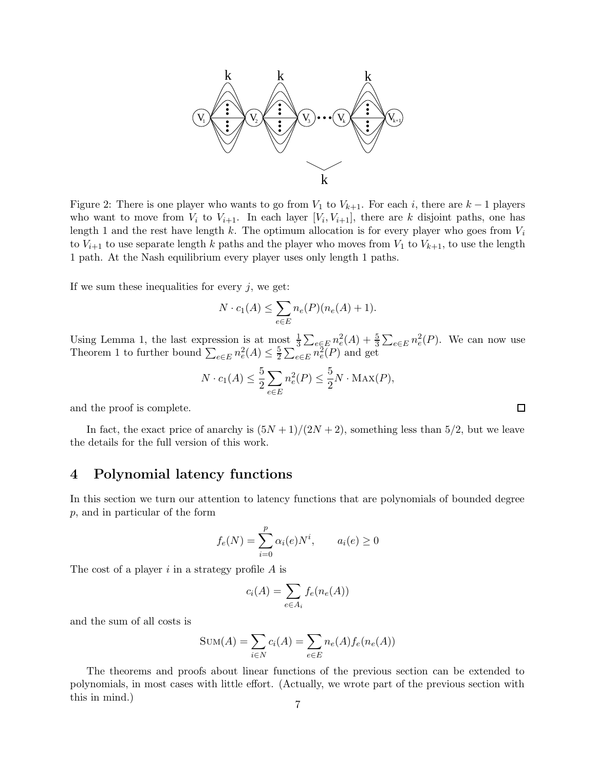

Figure 2: There is one player who wants to go from  $V_1$  to  $V_{k+1}$ . For each i, there are  $k-1$  players who want to move from  $V_i$  to  $V_{i+1}$ . In each layer  $[V_i, V_{i+1}]$ , there are k disjoint paths, one has length 1 and the rest have length k. The optimum allocation is for every player who goes from  $V_i$ to  $V_{i+1}$  to use separate length k paths and the player who moves from  $V_1$  to  $V_{k+1}$ , to use the length 1 path. At the Nash equilibrium every player uses only length 1 paths.

If we sum these inequalities for every  $j$ , we get:

$$
N \cdot c_1(A) \le \sum_{e \in E} n_e(P)(n_e(A) + 1).
$$

Using Lemma 1, the last expression is at most  $\frac{1}{3} \sum_{e \in E} n_e^2(A) + \frac{5}{3}$  $\frac{5}{3}\sum_{e\in E}n_e^2(P)$ . We can now use Theorem 1 to further bound  $\sum_{e \in E} n_e^2(A) \leq \frac{5}{2}$  $\frac{5}{2} \sum_{e \in E} n_e^2(P)$  and get

$$
N \cdot c_1(A) \le \frac{5}{2} \sum_{e \in E} n_e^2(P) \le \frac{5}{2} N \cdot \text{MAX}(P),
$$

 $\Box$ 

and the proof is complete.

In fact, the exact price of anarchy is  $(5N + 1)/(2N + 2)$ , something less than 5/2, but we leave the details for the full version of this work.

## 4 Polynomial latency functions

In this section we turn our attention to latency functions that are polynomials of bounded degree p, and in particular of the form

$$
f_e(N) = \sum_{i=0}^{p} \alpha_i(e) N^i, \qquad a_i(e) \ge 0
$$

The cost of a player  $i$  in a strategy profile  $A$  is

$$
c_i(A) = \sum_{e \in A_i} f_e(n_e(A))
$$

and the sum of all costs is

$$
SUM(A) = \sum_{i \in N} c_i(A) = \sum_{e \in E} n_e(A) f_e(n_e(A))
$$

The theorems and proofs about linear functions of the previous section can be extended to polynomials, in most cases with little effort. (Actually, we wrote part of the previous section with this in mind.)  $7^{12}$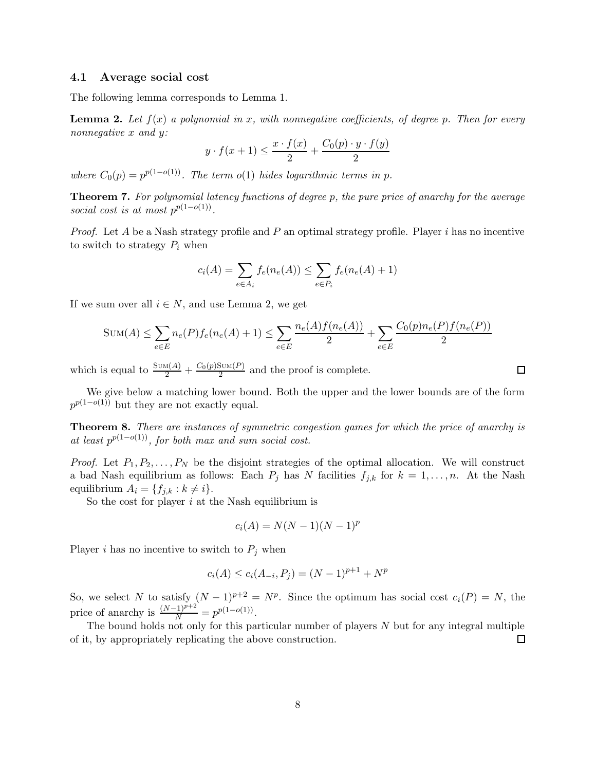#### 4.1 Average social cost

The following lemma corresponds to Lemma 1.

**Lemma 2.** Let  $f(x)$  a polynomial in x, with nonnegative coefficients, of degree p. Then for every nonnegative x and y:

$$
y \cdot f(x+1) \le \frac{x \cdot f(x)}{2} + \frac{C_0(p) \cdot y \cdot f(y)}{2}
$$

where  $C_0(p) = p^{p(1-o(1))}$ . The term o(1) hides logarithmic terms in p.

Theorem 7. For polynomial latency functions of degree p, the pure price of anarchy for the average social cost is at most  $p^{p(1-o(1))}$ .

*Proof.* Let A be a Nash strategy profile and P an optimal strategy profile. Player i has no incentive to switch to strategy  $P_i$  when

$$
c_i(A) = \sum_{e \in A_i} f_e(n_e(A)) \le \sum_{e \in P_i} f_e(n_e(A) + 1)
$$

If we sum over all  $i \in N$ , and use Lemma 2, we get

$$
Sum(A) \le \sum_{e \in E} n_e(P) f_e(n_e(A) + 1) \le \sum_{e \in E} \frac{n_e(A) f(n_e(A))}{2} + \sum_{e \in E} \frac{C_0(p) n_e(P) f(n_e(P))}{2}
$$

which is equal to  $\frac{\text{Sum}(A)}{2} + \frac{C_0(p)\text{Sum}(P)}{2}$  $\frac{200M(P)}{2}$  and the proof is complete.

We give below a matching lower bound. Both the upper and the lower bounds are of the form  $p^{p(1-o(1))}$  but they are not exactly equal.

Theorem 8. There are instances of symmetric congestion games for which the price of anarchy is at least  $p^{p(1-o(1))}$ , for both max and sum social cost.

*Proof.* Let  $P_1, P_2, \ldots, P_N$  be the disjoint strategies of the optimal allocation. We will construct a bad Nash equilibrium as follows: Each  $P_j$  has N facilities  $f_{j,k}$  for  $k = 1, \ldots, n$ . At the Nash equilibrium  $A_i = \{f_{j,k} : k \neq i\}.$ 

So the cost for player  $i$  at the Nash equilibrium is

$$
c_i(A) = N(N-1)(N-1)^p
$$

Player i has no incentive to switch to  $P_j$  when

$$
c_i(A) \le c_i(A_{-i}, P_j) = (N-1)^{p+1} + N^p
$$

So, we select N to satisfy  $(N-1)^{p+2} = N^p$ . Since the optimum has social cost  $c_i(P) = N$ , the price of anarchy is  $\frac{(N-1)^{p+2}}{N} = p^{p(1-o(1))}$ .

The bound holds not only for this particular number of players  $N$  but for any integral multiple of it, by appropriately replicating the above construction. 口

 $\Box$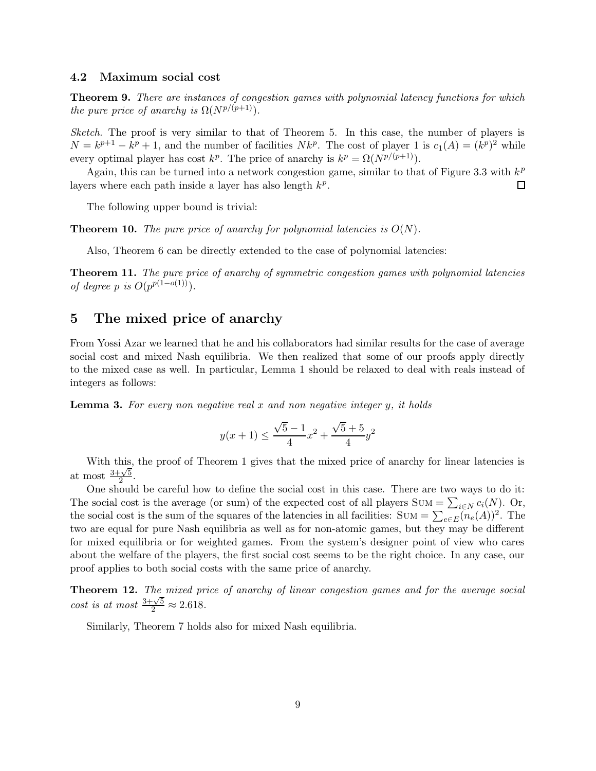#### 4.2 Maximum social cost

Theorem 9. There are instances of congestion games with polynomial latency functions for which the pure price of anarchy is  $\Omega(N^{p/(p+1)})$ .

Sketch. The proof is very similar to that of Theorem 5. In this case, the number of players is  $N = k^{p+1} - k^p + 1$ , and the number of facilities  $Nk^p$ . The cost of player 1 is  $c_1(A) = (k^p)^2$  while every optimal player has cost  $k^p$ . The price of anarchy is  $k^p = \Omega(N^{p/(p+1)})$ .

Again, this can be turned into a network congestion game, similar to that of Figure 3.3 with  $k^p$ layers where each path inside a layer has also length  $k^p$ .  $\Box$ 

The following upper bound is trivial:

**Theorem 10.** The pure price of anarchy for polynomial latencies is  $O(N)$ .

Also, Theorem 6 can be directly extended to the case of polynomial latencies:

Theorem 11. The pure price of anarchy of symmetric congestion games with polynomial latencies of degree p is  $O(p^{p(1-o(1))})$ .

# 5 The mixed price of anarchy

From Yossi Azar we learned that he and his collaborators had similar results for the case of average social cost and mixed Nash equilibria. We then realized that some of our proofs apply directly to the mixed case as well. In particular, Lemma 1 should be relaxed to deal with reals instead of integers as follows:

**Lemma 3.** For every non negative real x and non negative integer y, it holds

$$
y(x+1) \le \frac{\sqrt{5} - 1}{4}x^2 + \frac{\sqrt{5} + 5}{4}y^2
$$

With this, the proof of Theorem 1 gives that the mixed price of anarchy for linear latencies is at most  $\frac{3+\sqrt{5}}{2}$  $\frac{1}{2}$ .

One should be careful how to define the social cost in this case. There are two ways to do it: The social cost is the average (or sum) of the expected cost of all players  $\text{Sum} = \sum_{i \in N} c_i(N)$ . Or, the social cost is the sum of the squares of the latencies in all facilities:  $\text{Sum} = \sum_{e \in E} (n_e(A))^2$ . The two are equal for pure Nash equilibria as well as for non-atomic games, but they may be different for mixed equilibria or for weighted games. From the system's designer point of view who cares about the welfare of the players, the first social cost seems to be the right choice. In any case, our proof applies to both social costs with the same price of anarchy.

Theorem 12. The mixed price of anarchy of linear congestion games and for the average social cost is at most  $\frac{3+\sqrt{5}}{2} \approx 2.618$ .

Similarly, Theorem 7 holds also for mixed Nash equilibria.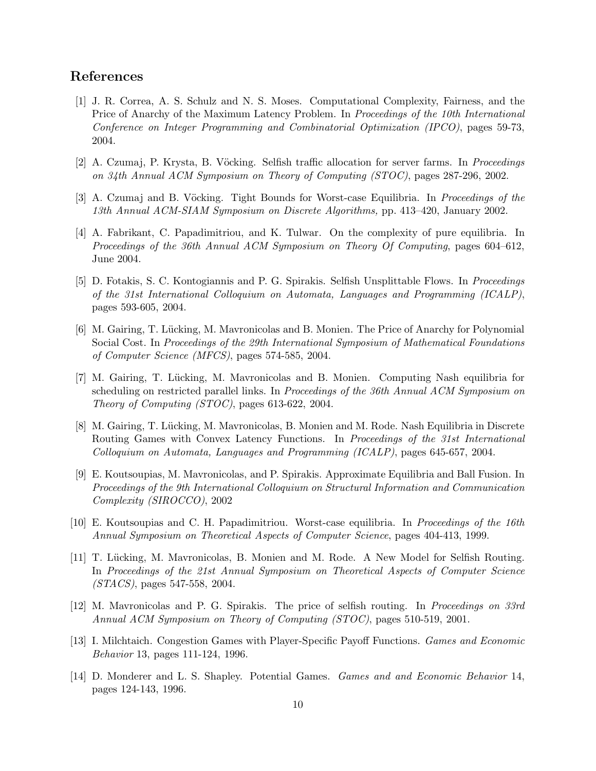# References

- [1] J. R. Correa, A. S. Schulz and N. S. Moses. Computational Complexity, Fairness, and the Price of Anarchy of the Maximum Latency Problem. In Proceedings of the 10th International Conference on Integer Programming and Combinatorial Optimization (IPCO), pages 59-73, 2004.
- [2] A. Czumaj, P. Krysta, B. Vöcking. Selfish traffic allocation for server farms. In *Proceedings* on 34th Annual ACM Symposium on Theory of Computing (STOC), pages 287-296, 2002.
- [3] A. Czumaj and B. Vöcking. Tight Bounds for Worst-case Equilibria. In *Proceedings of the* 13th Annual ACM-SIAM Symposium on Discrete Algorithms, pp. 413–420, January 2002.
- [4] A. Fabrikant, C. Papadimitriou, and K. Tulwar. On the complexity of pure equilibria. In Proceedings of the 36th Annual ACM Symposium on Theory Of Computing, pages 604–612, June 2004.
- [5] D. Fotakis, S. C. Kontogiannis and P. G. Spirakis. Selfish Unsplittable Flows. In Proceedings of the 31st International Colloquium on Automata, Languages and Programming (ICALP), pages 593-605, 2004.
- [6] M. Gairing, T. Lücking, M. Mavronicolas and B. Monien. The Price of Anarchy for Polynomial Social Cost. In Proceedings of the 29th International Symposium of Mathematical Foundations of Computer Science (MFCS), pages 574-585, 2004.
- [7] M. Gairing, T. Lücking, M. Mavronicolas and B. Monien. Computing Nash equilibria for scheduling on restricted parallel links. In Proceedings of the 36th Annual ACM Symposium on Theory of Computing (STOC), pages 613-622, 2004.
- [8] M. Gairing, T. Lücking, M. Mavronicolas, B. Monien and M. Rode. Nash Equilibria in Discrete Routing Games with Convex Latency Functions. In Proceedings of the 31st International Colloquium on Automata, Languages and Programming (ICALP), pages 645-657, 2004.
- [9] E. Koutsoupias, M. Mavronicolas, and P. Spirakis. Approximate Equilibria and Ball Fusion. In Proceedings of the 9th International Colloquium on Structural Information and Communication Complexity (SIROCCO), 2002
- [10] E. Koutsoupias and C. H. Papadimitriou. Worst-case equilibria. In Proceedings of the 16th Annual Symposium on Theoretical Aspects of Computer Science, pages 404-413, 1999.
- [11] T. Lücking, M. Mavronicolas, B. Monien and M. Rode. A New Model for Selfish Routing. In Proceedings of the 21st Annual Symposium on Theoretical Aspects of Computer Science (STACS), pages 547-558, 2004.
- [12] M. Mavronicolas and P. G. Spirakis. The price of selfish routing. In Proceedings on 33rd Annual ACM Symposium on Theory of Computing (STOC), pages 510-519, 2001.
- [13] I. Milchtaich. Congestion Games with Player-Specific Payoff Functions. Games and Economic Behavior 13, pages 111-124, 1996.
- [14] D. Monderer and L. S. Shapley. Potential Games. Games and and Economic Behavior 14, pages 124-143, 1996.